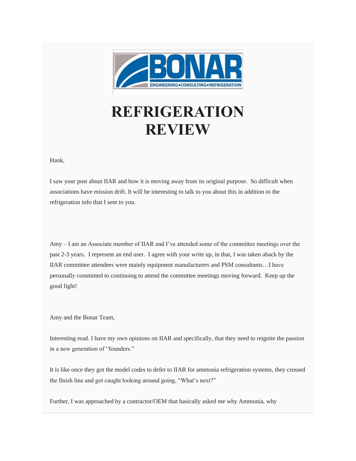

## **REFRIGERATION REVIEW**

Hank,

I saw your post about IIAR and how it is moving away from its original purpose. So difficult when associations have mission drift. It will be interesting to talk to you about this in addition to the refrigeration info that I sent to you.

Amy – I am an Associate member of IIAR and I've attended some of the committee meetings over the past 2-3 years. I represent an end user. I agree with your write up, in that, I was taken aback by the IIAR committee attendees were mainly equipment manufacturers and PSM consultants…I have personally committed to continuing to attend the committee meetings moving forward. Keep up the good fight!

Amy and the Bonar Team,

Interesting read. I have my own opinions on IIAR and specifically, that they need to reignite the passion in a new generation of "founders."

It is like once they got the model codes to defer to IIAR for ammonia refrigeration systems, they crossed the finish line and got caught looking around going, "What's next?"

Further, I was approached by a contractor/OEM that basically asked me why Ammonia, why